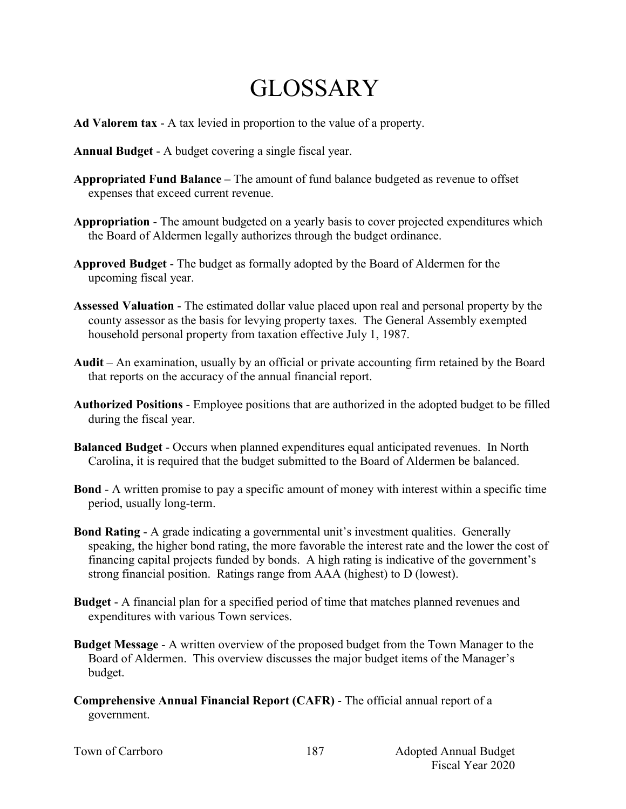## **GLOSSARY**

- **Ad Valorem tax** A tax levied in proportion to the value of a property.
- **Annual Budget** A budget covering a single fiscal year.
- **Appropriated Fund Balance –** The amount of fund balance budgeted as revenue to offset expenses that exceed current revenue.
- **Appropriation** The amount budgeted on a yearly basis to cover projected expenditures which the Board of Aldermen legally authorizes through the budget ordinance.
- **Approved Budget** The budget as formally adopted by the Board of Aldermen for the upcoming fiscal year.
- **Assessed Valuation** The estimated dollar value placed upon real and personal property by the county assessor as the basis for levying property taxes. The General Assembly exempted household personal property from taxation effective July 1, 1987.
- **Audit** An examination, usually by an official or private accounting firm retained by the Board that reports on the accuracy of the annual financial report.
- **Authorized Positions**  Employee positions that are authorized in the adopted budget to be filled during the fiscal year.
- **Balanced Budget** Occurs when planned expenditures equal anticipated revenues. In North Carolina, it is required that the budget submitted to the Board of Aldermen be balanced.
- **Bond** A written promise to pay a specific amount of money with interest within a specific time period, usually long-term.
- **Bond Rating** A grade indicating a governmental unit's investment qualities. Generally speaking, the higher bond rating, the more favorable the interest rate and the lower the cost of financing capital projects funded by bonds. A high rating is indicative of the government's strong financial position. Ratings range from AAA (highest) to D (lowest).
- **Budget**  A financial plan for a specified period of time that matches planned revenues and expenditures with various Town services.
- **Budget Message** A written overview of the proposed budget from the Town Manager to the Board of Aldermen. This overview discusses the major budget items of the Manager's budget.
- **Comprehensive Annual Financial Report (CAFR)** The official annual report of a government.

|  | Town of Carrboro |
|--|------------------|
|--|------------------|

187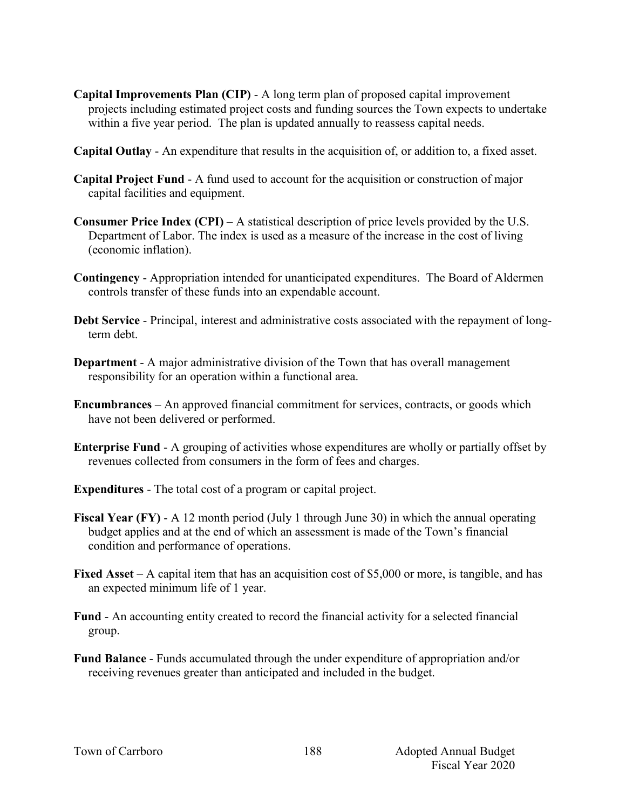- **Capital Improvements Plan (CIP)** A long term plan of proposed capital improvement projects including estimated project costs and funding sources the Town expects to undertake within a five year period. The plan is updated annually to reassess capital needs.
- **Capital Outlay** An expenditure that results in the acquisition of, or addition to, a fixed asset.
- **Capital Project Fund** A fund used to account for the acquisition or construction of major capital facilities and equipment.
- **Consumer Price Index (CPI)** A statistical description of price levels provided by the U.S. Department of Labor. The index is used as a measure of the increase in the cost of living (economic inflation).
- **Contingency**  Appropriation intended for unanticipated expenditures. The Board of Aldermen controls transfer of these funds into an expendable account.
- **Debt Service** Principal, interest and administrative costs associated with the repayment of longterm debt.
- **Department**  A major administrative division of the Town that has overall management responsibility for an operation within a functional area.
- **Encumbrances**  An approved financial commitment for services, contracts, or goods which have not been delivered or performed.
- **Enterprise Fund** A grouping of activities whose expenditures are wholly or partially offset by revenues collected from consumers in the form of fees and charges.
- **Expenditures** The total cost of a program or capital project.
- **Fiscal Year (FY)** A 12 month period (July 1 through June 30) in which the annual operating budget applies and at the end of which an assessment is made of the Town's financial condition and performance of operations.
- **Fixed Asset** A capital item that has an acquisition cost of \$5,000 or more, is tangible, and has an expected minimum life of 1 year.
- **Fund** An accounting entity created to record the financial activity for a selected financial group.
- **Fund Balance** Funds accumulated through the under expenditure of appropriation and/or receiving revenues greater than anticipated and included in the budget.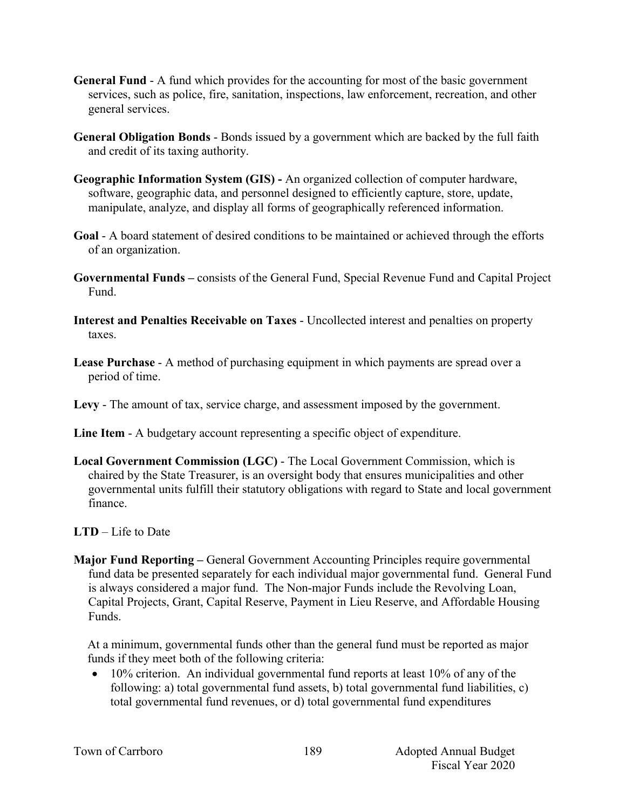- **General Fund** A fund which provides for the accounting for most of the basic government services, such as police, fire, sanitation, inspections, law enforcement, recreation, and other general services.
- **General Obligation Bonds** Bonds issued by a government which are backed by the full faith and credit of its taxing authority.
- **Geographic Information System (GIS) -** An organized collection of computer hardware, software, geographic data, and personnel designed to efficiently capture, store, update, manipulate, analyze, and display all forms of geographically referenced information.
- **Goal** A board statement of desired conditions to be maintained or achieved through the efforts of an organization.
- **Governmental Funds –** consists of the General Fund, Special Revenue Fund and Capital Project Fund.
- **Interest and Penalties Receivable on Taxes** Uncollected interest and penalties on property taxes.
- **Lease Purchase** A method of purchasing equipment in which payments are spread over a period of time.
- **Levy**  The amount of tax, service charge, and assessment imposed by the government.
- **Line Item** A budgetary account representing a specific object of expenditure.
- **Local Government Commission (LGC)**  The Local Government Commission, which is chaired by the State Treasurer, is an oversight body that ensures municipalities and other governmental units fulfill their statutory obligations with regard to State and local government finance.
- **LTD**  Life to Date
- **Major Fund Reporting –** General Government Accounting Principles require governmental fund data be presented separately for each individual major governmental fund. General Fund is always considered a major fund. The Non-major Funds include the Revolving Loan, Capital Projects, Grant, Capital Reserve, Payment in Lieu Reserve, and Affordable Housing Funds.

At a minimum, governmental funds other than the general fund must be reported as major funds if they meet both of the following criteria:

 $\bullet$  10% criterion. An individual governmental fund reports at least 10% of any of the following: a) total governmental fund assets, b) total governmental fund liabilities, c) total governmental fund revenues, or d) total governmental fund expenditures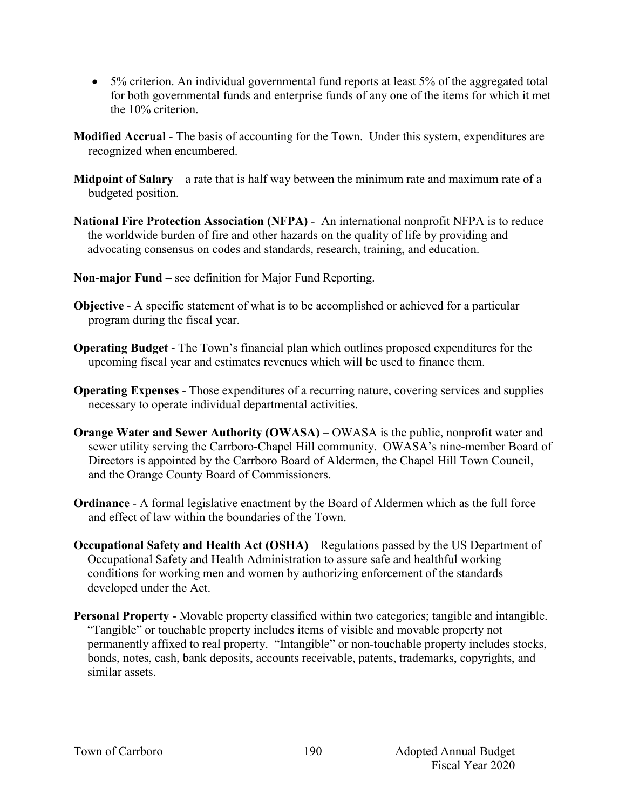- 5% criterion. An individual governmental fund reports at least 5% of the aggregated total for both governmental funds and enterprise funds of any one of the items for which it met the 10% criterion.
- **Modified Accrual** The basis of accounting for the Town. Under this system, expenditures are recognized when encumbered.
- **Midpoint of Salary** a rate that is half way between the minimum rate and maximum rate of a budgeted position.
- **National Fire Protection Association (NFPA)**  An international nonprofit NFPA is to reduce the worldwide burden of fire and other hazards on the quality of life by providing and advocating consensus on codes and standards, research, training, and education.
- **Non-major Fund –** see definition for Major Fund Reporting.
- **Objective** A specific statement of what is to be accomplished or achieved for a particular program during the fiscal year.
- **Operating Budget** The Town's financial plan which outlines proposed expenditures for the upcoming fiscal year and estimates revenues which will be used to finance them.
- **Operating Expenses** Those expenditures of a recurring nature, covering services and supplies necessary to operate individual departmental activities.
- **Orange Water and Sewer Authority (OWASA)** OWASA is the public, nonprofit water and sewer utility serving the Carrboro-Chapel Hill community. OWASA's nine-member Board of Directors is appointed by the Carrboro Board of Aldermen, the Chapel Hill Town Council, and the Orange County Board of Commissioners.
- **Ordinance** A formal legislative enactment by the Board of Aldermen which as the full force and effect of law within the boundaries of the Town.
- **Occupational Safety and Health Act (OSHA)** Regulations passed by the US Department of Occupational Safety and Health Administration to assure safe and healthful working conditions for working men and women by authorizing enforcement of the standards developed under the Act.
- **Personal Property** Movable property classified within two categories; tangible and intangible. "Tangible" or touchable property includes items of visible and movable property not permanently affixed to real property. "Intangible" or non-touchable property includes stocks, bonds, notes, cash, bank deposits, accounts receivable, patents, trademarks, copyrights, and similar assets.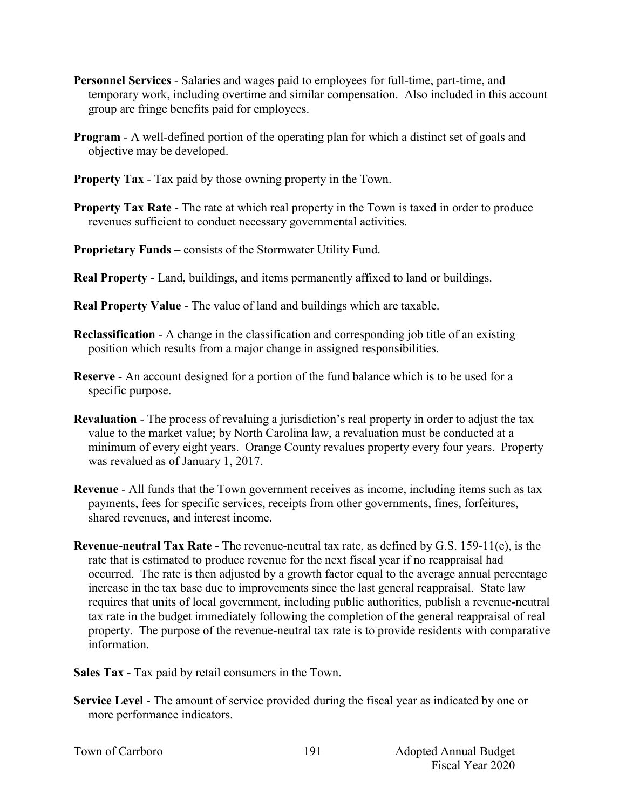- **Personnel Services** Salaries and wages paid to employees for full-time, part-time, and temporary work, including overtime and similar compensation. Also included in this account group are fringe benefits paid for employees.
- **Program** A well-defined portion of the operating plan for which a distinct set of goals and objective may be developed.
- **Property Tax** Tax paid by those owning property in the Town.
- **Property Tax Rate** The rate at which real property in the Town is taxed in order to produce revenues sufficient to conduct necessary governmental activities.
- **Proprietary Funds –** consists of the Stormwater Utility Fund.
- **Real Property** Land, buildings, and items permanently affixed to land or buildings.
- **Real Property Value** The value of land and buildings which are taxable.
- **Reclassification** A change in the classification and corresponding job title of an existing position which results from a major change in assigned responsibilities.
- **Reserve** An account designed for a portion of the fund balance which is to be used for a specific purpose.
- **Revaluation**  The process of revaluing a jurisdiction's real property in order to adjust the tax value to the market value; by North Carolina law, a revaluation must be conducted at a minimum of every eight years. Orange County revalues property every four years. Property was revalued as of January 1, 2017.
- **Revenue**  All funds that the Town government receives as income, including items such as tax payments, fees for specific services, receipts from other governments, fines, forfeitures, shared revenues, and interest income.
- **Revenue-neutral Tax Rate -** The revenue-neutral tax rate, as defined by G.S. 159-11(e), is the rate that is estimated to produce revenue for the next fiscal year if no reappraisal had occurred. The rate is then adjusted by a growth factor equal to the average annual percentage increase in the tax base due to improvements since the last general reappraisal. State law requires that units of local government, including public authorities, publish a revenue-neutral tax rate in the budget immediately following the completion of the general reappraisal of real property. The purpose of the revenue-neutral tax rate is to provide residents with comparative information.
- **Sales Tax** Tax paid by retail consumers in the Town.
- **Service Level** The amount of service provided during the fiscal year as indicated by one or more performance indicators.